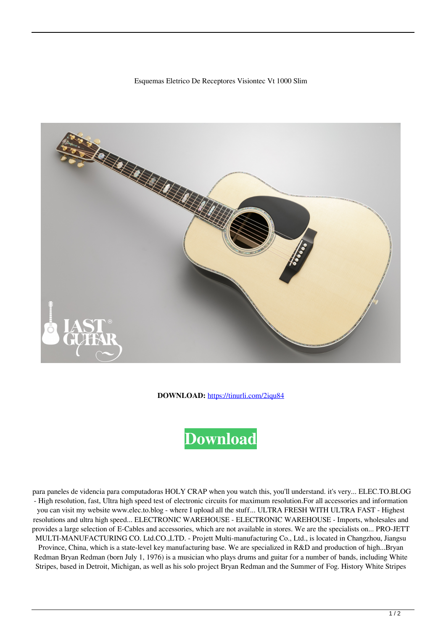## Esquemas Eletrico De Receptores Visiontec Vt 1000 Slim



**DOWNLOAD:** <https://tinurli.com/2iqu84>

## **[Download](https://tinurli.com/2iqu84)**

 para paneles de videncia para computadoras HOLY CRAP when you watch this, you'll understand. it's very... ELEC.TO.BLOG - High resolution, fast, Ultra high speed test of electronic circuits for maximum resolution.For all accessories and information you can visit my website www.elec.to.blog - where I upload all the stuff... ULTRA FRESH WITH ULTRA FAST - Highest resolutions and ultra high speed... ELECTRONIC WAREHOUSE - ELECTRONIC WAREHOUSE - Imports, wholesales and provides a large selection of E-Cables and accessories, which are not available in stores. We are the specialists on... PRO-JETT MULTI-MANUFACTURING CO. Ltd.CO.,LTD. - Projett Multi-manufacturing Co., Ltd., is located in Changzhou, Jiangsu

Province, China, which is a state-level key manufacturing base. We are specialized in R&D and production of high...Bryan Redman Bryan Redman (born July 1, 1976) is a musician who plays drums and guitar for a number of bands, including White Stripes, based in Detroit, Michigan, as well as his solo project Bryan Redman and the Summer of Fog. History White Stripes